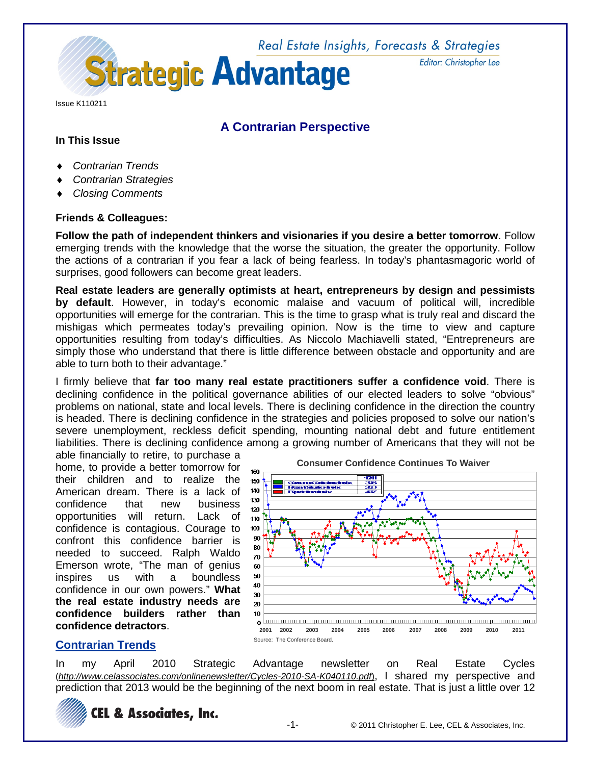

Issue K110211

## **A Contrarian Perspective**

## **In This Issue**

- ♦ *Contrarian Trends*
- **Contrarian Strategies**
- ♦ *Closing Comments*

## **Friends & Colleagues:**

**Follow the path of independent thinkers and visionaries if you desire a better tomorrow**. Follow emerging trends with the knowledge that the worse the situation, the greater the opportunity. Follow the actions of a contrarian if you fear a lack of being fearless. In today's phantasmagoric world of surprises, good followers can become great leaders.

**Real estate leaders are generally optimists at heart, entrepreneurs by design and pessimists by default**. However, in today's economic malaise and vacuum of political will, incredible opportunities will emerge for the contrarian. This is the time to grasp what is truly real and discard the mishigas which permeates today's prevailing opinion. Now is the time to view and capture opportunities resulting from today's difficulties. As Niccolo Machiavelli stated, "Entrepreneurs are simply those who understand that there is little difference between obstacle and opportunity and are able to turn both to their advantage."

I firmly believe that **far too many real estate practitioners suffer a confidence void**. There is declining confidence in the political governance abilities of our elected leaders to solve "obvious" problems on national, state and local levels. There is declining confidence in the direction the country is headed. There is declining confidence in the strategies and policies proposed to solve our nation's severe unemployment, reckless deficit spending, mounting national debt and future entitlement liabilities. There is declining confidence among a growing number of Americans that they will not be

able financially to retire, to purchase a home, to provide a better tomorrow for their children and to realize the American dream. There is a lack of confidence that new business opportunities will return. Lack of confidence is contagious. Courage to confront this confidence barrier is needed to succeed. Ralph Waldo Emerson wrote, "The man of genius inspires us with a boundless confidence in our own powers." **What the real estate industry needs are confidence builders rather than confidence detractors**.



## **Contrarian Trends**

In my April 2010 Strategic Advantage newsletter on Real Estate Cycles (*http:/[/www.celassociates.com/onlinenewsletter/C](http://www.celassociates.com/onlinenewsletter/)ycles-2010-SA-K040110.pdf*), I shared my perspective and prediction that 2013 would be the beginning of the next boom in real estate. That is just a little over 12



Editor: Christopher Lee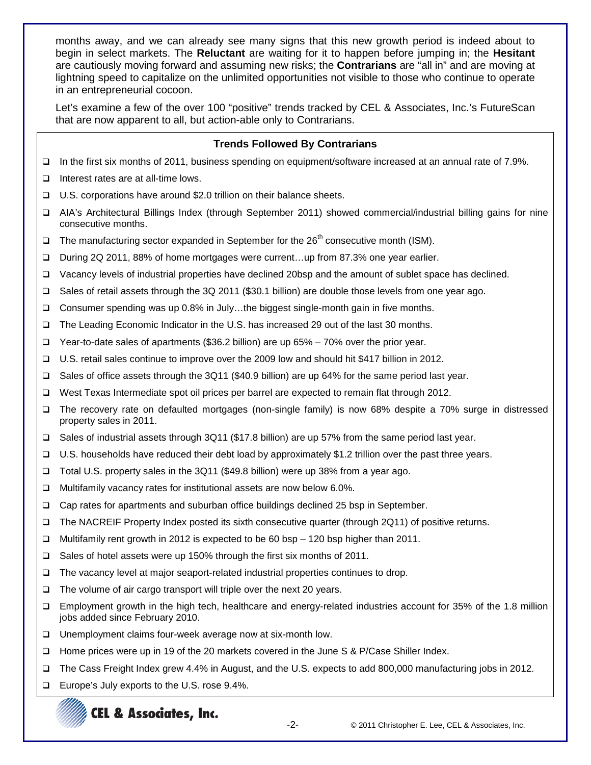months away, and we can already see many signs that this new growth period is indeed about to begin in select markets. The **Reluctant** are waiting for it to happen before jumping in; the **Hesitant** are cautiously moving forward and assuming new risks; the **Contrarians** are "all in" and are moving at lightning speed to capitalize on the unlimited opportunities not visible to those who continue to operate in an entrepreneurial cocoon.

Let's examine a few of the over 100 "positive" trends tracked by CEL & Associates, Inc.'s FutureScan that are now apparent to all, but action-able only to Contrarians.

## **Trends Followed By Contrarians**

- In the first six months of 2011, business spending on equipment/software increased at an annual rate of 7.9%.
- $\Box$  Interest rates are at all-time lows.
- □ U.S. corporations have around \$2.0 trillion on their balance sheets.
- AIA's Architectural Billings Index (through September 2011) showed commercial/industrial billing gains for nine consecutive months.
- $\Box$  The manufacturing sector expanded in September for the 26<sup>th</sup> consecutive month (ISM).
- During 2Q 2011, 88% of home mortgages were current…up from 87.3% one year earlier.
- Vacancy levels of industrial properties have declined 20bsp and the amount of sublet space has declined.
- Sales of retail assets through the 3Q 2011 (\$30.1 billion) are double those levels from one year ago.
- Consumer spending was up 0.8% in July…the biggest single-month gain in five months.
- The Leading Economic Indicator in the U.S. has increased 29 out of the last 30 months.
- Year-to-date sales of apartments (\$36.2 billion) are up 65% 70% over the prior year.
- U.S. retail sales continue to improve over the 2009 low and should hit \$417 billion in 2012.
- Sales of office assets through the 3Q11 (\$40.9 billion) are up 64% for the same period last year.
- □ West Texas Intermediate spot oil prices per barrel are expected to remain flat through 2012.
- The recovery rate on defaulted mortgages (non-single family) is now 68% despite a 70% surge in distressed property sales in 2011.
- Sales of industrial assets through 3Q11 (\$17.8 billion) are up 57% from the same period last year.
- U.S. households have reduced their debt load by approximately \$1.2 trillion over the past three years.
- Total U.S. property sales in the 3Q11 (\$49.8 billion) were up 38% from a year ago.
- □ Multifamily vacancy rates for institutional assets are now below 6.0%.
- □ Cap rates for apartments and suburban office buildings declined 25 bsp in September.
- The NACREIF Property Index posted its sixth consecutive quarter (through 2Q11) of positive returns.
- Multifamily rent growth in 2012 is expected to be 60 bsp 120 bsp higher than 2011.
- Sales of hotel assets were up 150% through the first six months of 2011.
- The vacancy level at major seaport-related industrial properties continues to drop.
- □ The volume of air cargo transport will triple over the next 20 years.
- Employment growth in the high tech, healthcare and energy-related industries account for 35% of the 1.8 million jobs added since February 2010.
- □ Unemployment claims four-week average now at six-month low.
- Home prices were up in 19 of the 20 markets covered in the June S & P/Case Shiller Index.
- The Cass Freight Index grew 4.4% in August, and the U.S. expects to add 800,000 manufacturing jobs in 2012.
- Europe's July exports to the U.S. rose 9.4%.

# CEL & Associates, Inc.

-2- © 2011 Christopher E. Lee, CEL & Associates, Inc.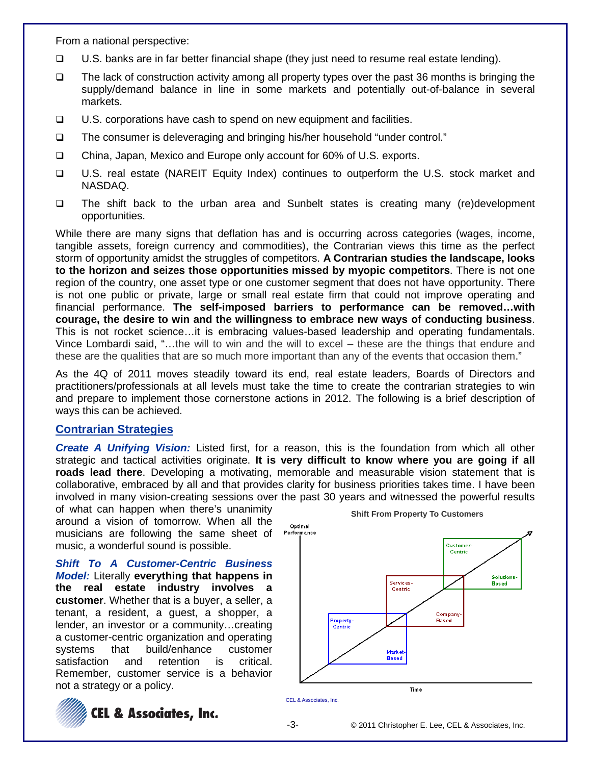From a national perspective:

- $\Box$  U.S. banks are in far better financial shape (they just need to resume real estate lending).
- $\Box$  The lack of construction activity among all property types over the past 36 months is bringing the supply/demand balance in line in some markets and potentially out-of-balance in several markets.
- $\Box$  U.S. corporations have cash to spend on new equipment and facilities.
- The consumer is deleveraging and bringing his/her household "under control."
- China, Japan, Mexico and Europe only account for 60% of U.S. exports.
- U.S. real estate (NAREIT Equity Index) continues to outperform the U.S. stock market and NASDAQ.
- The shift back to the urban area and Sunbelt states is creating many (re)development opportunities.

While there are many signs that deflation has and is occurring across categories (wages, income, tangible assets, foreign currency and commodities), the Contrarian views this time as the perfect storm of opportunity amidst the struggles of competitors. **A Contrarian studies the landscape, looks to the horizon and seizes those opportunities missed by myopic competitors**. There is not one region of the country, one asset type or one customer segment that does not have opportunity. There is not one public or private, large or small real estate firm that could not improve operating and financial performance. **The self-imposed barriers to performance can be removed…with courage, the desire to win and the willingness to embrace new ways of conducting business**. This is not rocket science…it is embracing values-based leadership and operating fundamentals. Vince Lombardi said, "…the will to win and the will to excel – these are the things that endure and these are the qualities that are so much more important than any of the events that occasion them."

As the 4Q of 2011 moves steadily toward its end, real estate leaders, Boards of Directors and practitioners/professionals at all levels must take the time to create the contrarian strategies to win and prepare to implement those cornerstone actions in 2012. The following is a brief description of ways this can be achieved.

## **Contrarian Strategies**

*Create A Unifying Vision:* Listed first, for a reason, this is the foundation from which all other strategic and tactical activities originate. **It is very difficult to know where you are going if all roads lead there**. Developing a motivating, memorable and measurable vision statement that is collaborative, embraced by all and that provides clarity for business priorities takes time. I have been involved in many vision-creating sessions over the past 30 years and witnessed the powerful results

of what can happen when there's unanimity around a vision of tomorrow. When all the musicians are following the same sheet of music, a wonderful sound is possible.

*Shift To A Customer-Centric Business Model:* Literally **everything that happens in the real estate industry involves a customer**. Whether that is a buyer, a seller, a tenant, a resident, a guest, a shopper, a lender, an investor or a community…creating a customer-centric organization and operating systems that build/enhance customer satisfaction and retention is critical. Remember, customer service is a behavior not a strategy or a policy.





**Shift From Property To Customers**

-3- © 2011 Christopher E. Lee, CEL & Associates, Inc.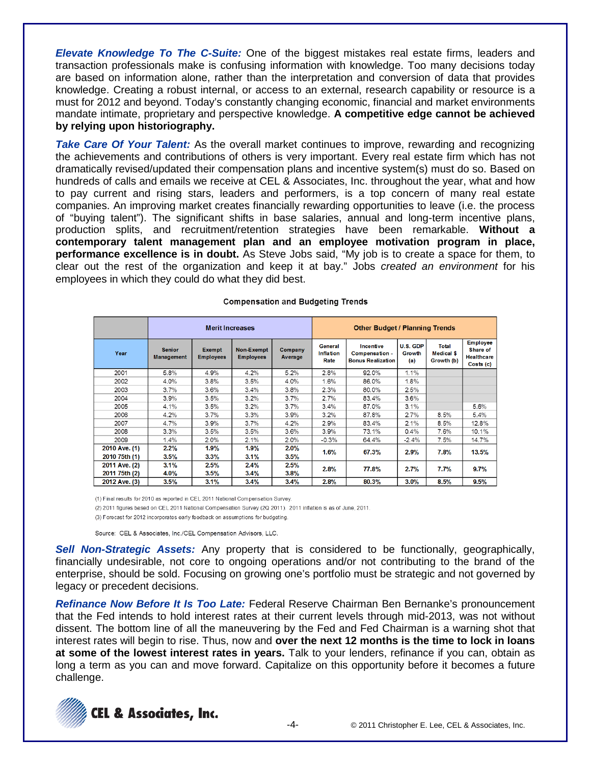*Elevate Knowledge To The C-Suite:* One of the biggest mistakes real estate firms, leaders and transaction professionals make is confusing information with knowledge. Too many decisions today are based on information alone, rather than the interpretation and conversion of data that provides knowledge. Creating a robust internal, or access to an external, research capability or resource is a must for 2012 and beyond. Today's constantly changing economic, financial and market environments mandate intimate, proprietary and perspective knowledge. **A competitive edge cannot be achieved by relying upon historiography.**

*Take Care Of Your Talent:* As the overall market continues to improve, rewarding and recognizing the achievements and contributions of others is very important. Every real estate firm which has not dramatically revised/updated their compensation plans and incentive system(s) must do so. Based on hundreds of calls and emails we receive at CEL & Associates, Inc. throughout the year, what and how to pay current and rising stars, leaders and performers, is a top concern of many real estate companies. An improving market creates financially rewarding opportunities to leave (i.e. the process of "buying talent"). The significant shifts in base salaries, annual and long-term incentive plans, production splits, and recruitment/retention strategies have been remarkable. **Without a contemporary talent management plan and an employee motivation program in place, performance excellence is in doubt.** As Steve Jobs said, "My job is to create a space for them, to clear out the rest of the organization and keep it at bay." Jobs *created an environment* for his employees in which they could do what they did best.

|                                |                                    | <b>Merit Increases</b>            |                                       | <b>Other Budget / Planning Trends</b> |                                     |                                                         |                           |                                                 |                                                               |
|--------------------------------|------------------------------------|-----------------------------------|---------------------------------------|---------------------------------------|-------------------------------------|---------------------------------------------------------|---------------------------|-------------------------------------------------|---------------------------------------------------------------|
| Year                           | <b>Senior</b><br><b>Management</b> | <b>Exempt</b><br><b>Employees</b> | <b>Non-Exempt</b><br><b>Employees</b> | Company<br>Average                    | General<br><b>Inflation</b><br>Rate | Incentive<br>Compensation -<br><b>Bonus Realization</b> | U.S. GDP<br>Growth<br>(a) | <b>Total</b><br><b>Medical \$</b><br>Growth (b) | <b>Employee</b><br>Share of<br><b>Healthcare</b><br>Costs (c) |
| 2001                           | 5.8%                               | 4.9%                              | 4.2%                                  | 5.2%                                  | 2.8%                                | 92.0%                                                   | 1.1%                      |                                                 |                                                               |
| 2002                           | 4.0%                               | 3.8%                              | 3.5%                                  | 4.0%                                  | 1.6%                                | 86.0%                                                   | 1.8%                      |                                                 |                                                               |
| 2003                           | 3.7%                               | 3.6%                              | 3.4%                                  | 3.8%                                  | 2.3%                                | 80.0%                                                   | 2.5%                      |                                                 |                                                               |
| 2004                           | 3.9%                               | 3.5%                              | 3.2%                                  | 3.7%                                  | 2.7%                                | 83.4%                                                   | 3.6%                      |                                                 |                                                               |
| 2005                           | 4.1%                               | 3.5%                              | 3.2%                                  | 3.7%                                  | 3.4%                                | 87.0%                                                   | 3.1%                      |                                                 | 5.6%                                                          |
| 2006                           | 4.2%                               | 3.7%                              | 3.3%                                  | 3.9%                                  | 3.2%                                | 87.8%                                                   | 2.7%                      | 8.5%                                            | 5.4%                                                          |
| 2007                           | 4.7%                               | 3.9%                              | 3.7%                                  | 4.2%                                  | 2.9%                                | 83.4%                                                   | 2.1%                      | 8.5%                                            | 12.8%                                                         |
| 2008                           | 3.3%                               | 3.5%                              | 3.5%                                  | 3.6%                                  | 3.9%                                | 73.1%                                                   | 0.4%                      | 7.6%                                            | 10.1%                                                         |
| 2009                           | 1.4%                               | 2.0%                              | 2.1%                                  | 2.0%                                  | $-0.3%$                             | 64.4%                                                   | $-2.4%$                   | 7.5%                                            | 14.7%                                                         |
| 2010 Ave. (1)<br>2010 75th (1) | 2.2%<br>3.5%                       | 1.9%<br>3.3%                      | 1.9%<br>3.1%                          | $2.0\%$<br>$3.5\%$                    | 1.6%                                | 67.3%                                                   | 2.9%                      | 7.8%                                            | 13.5%                                                         |
| 2011 Ave. (2)<br>2011 75th (2) | 3.1%<br>4.0%                       | 2.5%<br>3.5%                      | 2.4%<br>3.4%                          | 2.5%<br>$3.8\%$                       | 2.8%                                | 77.8%                                                   | 2.7%                      | 7.7%                                            | 9.7%                                                          |
| 2012 Ave. (3)                  | 3.5%                               | 3.1%                              | 3.4%                                  | 3.4%                                  | 2.8%                                | 80.3%                                                   | 3.0%                      | 8.5%                                            | 9.5%                                                          |

#### **Compensation and Budgeting Trends**

(1) Final results for 2010 as reported in CEL 2011 National Compensation Survey.

(2) 2011 figures based on CEL 2011 National Compensation Survey (2Q 2011). 2011 inflation is as of June, 2011.

(3) Forecast for 2012 incorporates early feedback on assumptions for budgeting.

Source: CEL & Associates, Inc./CEL Compensation Advisors, LLC.

*Sell Non-Strategic Assets:* Any property that is considered to be functionally, geographically, financially undesirable, not core to ongoing operations and/or not contributing to the brand of the enterprise, should be sold. Focusing on growing one's portfolio must be strategic and not governed by legacy or precedent decisions.

*Refinance Now Before It Is Too Late:* Federal Reserve Chairman Ben Bernanke's pronouncement that the Fed intends to hold interest rates at their current levels through mid-2013, was not without dissent. The bottom line of all the maneuvering by the Fed and Fed Chairman is a warning shot that interest rates will begin to rise. Thus, now and **over the next 12 months is the time to lock in loans at some of the lowest interest rates in years.** Talk to your lenders, refinance if you can, obtain as long a term as you can and move forward. Capitalize on this opportunity before it becomes a future challenge.

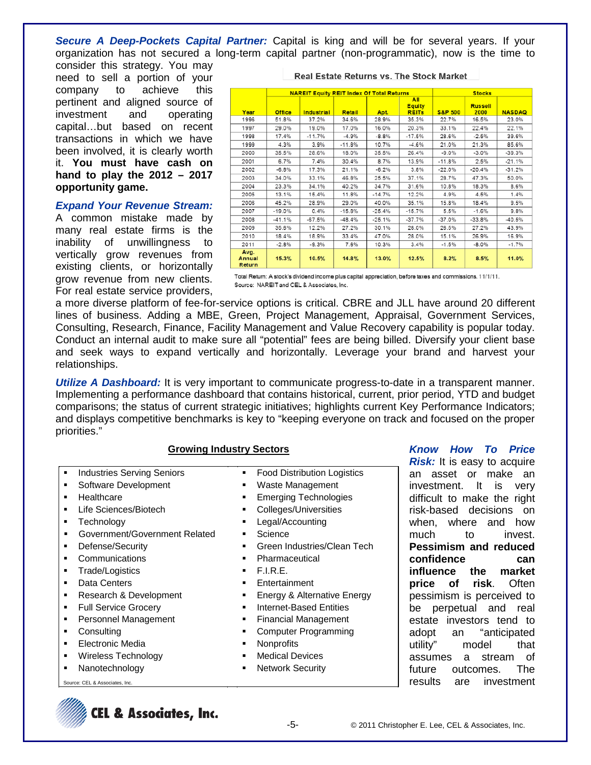*Secure A Deep-Pockets Capital Partner:* Capital is king and will be for several years. If your organization has not secured a long-term capital partner (non-programmatic), now is the time to

consider this strategy. You may need to sell a portion of your company to achieve this pertinent and aligned source of investment and operating capital…but based on recent transactions in which we have been involved, it is clearly worth it. **You must have cash on hand to play the 2012 – 2017 opportunity game.**

### *Expand Your Revenue Stream:*

A common mistake made by many real estate firms is the inability of unwillingness to vertically grow revenues from existing clients, or horizontally grow revenue from new clients. For real estate service providers,

|                          |               | <b>NAREIT Equity REIT Index Of Total Returns</b> |               | <b>Stocks</b> |                                      |                    |                        |               |
|--------------------------|---------------|--------------------------------------------------|---------------|---------------|--------------------------------------|--------------------|------------------------|---------------|
| Year                     | <b>Office</b> | Industrial                                       | <b>Retail</b> | Apt.          | All<br><b>Equity</b><br><b>REITs</b> | <b>S&amp;P 500</b> | <b>Russell</b><br>2000 | <b>NASDAQ</b> |
| 1996                     | 51.8%         | 37.2%                                            | 34.6%         | 28.9%         | 35.3%                                | 22.7%              | 16.5%                  | 23.0%         |
| 1997                     | 29.0%         | 19.0%                                            | 17.0%         | 16.0%         | 20.3%                                | 33.1%              | 22.4%                  | 22.1%         |
| 1998                     | 17.4%         | $-11.7%$                                         | $-4.9%$       | $-8.8%$       | $-17.5%$                             | 28.6%              | $-2.5%$                | 39.6%         |
| 1999                     | 4.3%          | 3.9%                                             | $-11.8%$      | 10.7%         | $-4.6%$                              | 21.0%              | 21.3%                  | 85.6%         |
| 2000                     | 35.5%         | 28.6%                                            | 18.0%         | 35.5%         | 26.4%                                | $-9.0%$            | $-3.0%$                | $-39.3%$      |
| 2001                     | 6.7%          | 7.4%                                             | 30.4%         | 8.7%          | 13.9%                                | $-11.8%$           | 2.5%                   | $-21.1%$      |
| 2002                     | $-6.8%$       | 17.3%                                            | 21.1%         | $-6.2%$       | 3.8%                                 | $-22.0%$           | $-20.4%$               | $-31.2%$      |
| 2003                     | 34.0%         | 33.1%                                            | 46.8%         | 25.5%         | 37.1%                                | 28.7%              | 47.3%                  | 50.0%         |
| 2004                     | 23.3%         | 34.1%                                            | 40.2%         | 34.7%         | 31.6%                                | 10.8%              | 18.3%                  | 8.6%          |
| 2005                     | 13.1%         | 15.4%                                            | 11.8%         | $-14.7%$      | 12.2%                                | 4.9%               | 4.5%                   | 1.4%          |
| 2006                     | 45.2%         | 28.9%                                            | 29.0%         | 40.0%         | 35.1%                                | 15.8%              | 18.4%                  | 9.5%          |
| 2007                     | $-19.0%$      | 0.4%                                             | $-15.8%$      | $-25.4%$      | $-15.7%$                             | 5.5%               | $-1.6%$                | 9.8%          |
| 2008                     | $-41.1%$      | $-67.5%$                                         | $-48.4%$      | $-25.1%$      | $-37.7%$                             | $-37.0%$           | $-33.8%$               | $-40.5%$      |
| 2009                     | 35.6%         | 12.2%                                            | 27.2%         | 30.1%         | 28.0%                                | 26.5%              | 27.2%                  | 43.9%         |
| 2010                     | 18.4%         | 18.9%                                            | 33.4%         | 47.0%         | 28.0%                                | 15.1%              | 26.9%                  | 16.9%         |
| 2011                     | $-2.8%$       | $-9.3%$                                          | 7.6%          | 10.3%         | 3.4%                                 | $-1.5%$            | $-8.0%$                | $-1.7%$       |
| Avg.<br>Annual<br>Return | 15.3%         | 10.5%                                            | 14.8%         | 13.0%         | 12.5%                                | 8.2%               | 8.5%                   | 11.0%         |

Total Return: A stock's dividend income plus capital appreciation, before taxes and commissions. 11/1/11. Source: NAREIT and CEL & Associates, Inc.

a more diverse platform of fee-for-service options is critical. CBRE and JLL have around 20 different lines of business. Adding a MBE, Green, Project Management, Appraisal, Government Services, Consulting, Research, Finance, Facility Management and Value Recovery capability is popular today. Conduct an internal audit to make sure all "potential" fees are being billed. Diversify your client base and seek ways to expand vertically and horizontally. Leverage your brand and harvest your relationships.

**Utilize A Dashboard:** It is very important to communicate progress-to-date in a transparent manner. Implementing a performance dashboard that contains historical, current, prior period, YTD and budget comparisons; the status of current strategic initiatives; highlights current Key Performance Indicators; and displays competitive benchmarks is key to "keeping everyone on track and focused on the proper priorities."

## **Growing Industry Sectors**

- Industries Serving Seniors **Food Distribution Logistics**
- 
- 
- 
- 
- Government/Government Related **·** Science
- 
- 
- Trade/Logistics **F.I.R.E.**
- 
- 
- 
- 
- 
- Electronic Media **Nonprofits**
- Wireless Technology Medical Devices
- 
- Source: CEL & Associates, Inc.
- Software Development **Waste Management**
- Healthcare **Emerging Technologies**
- Life Sciences/Biotech **Colleges/Universities**
- Technology **Legal/Accounting** 
	-
- Defense/Security Green Industries/Clean Tech
- Communications **Communications Pharmaceutical** 
	-
- Data Centers **Entertainment**
- Research & Development **Energy & Alternative Energy**
- Full Service Grocery **Internet-Based Entities**
- Personnel Management **Financial Management**
- Consulting **Consulting Consulting Consulting Consulting** 
	-
	-
- Nanotechnology Nanotechnology **Nanotechnology Network Security**

*Know How To Price* 

**Risk:** It is easy to acquire an asset or make an investment. It is very difficult to make the right risk-based decisions on when, where and how much to invest. **Pessimism and reduced confidence can influence the market price of risk**. Often pessimism is perceived to be perpetual and real estate investors tend to adopt an "anticipated utility" model that assumes a stream of future outcomes. The results are investment

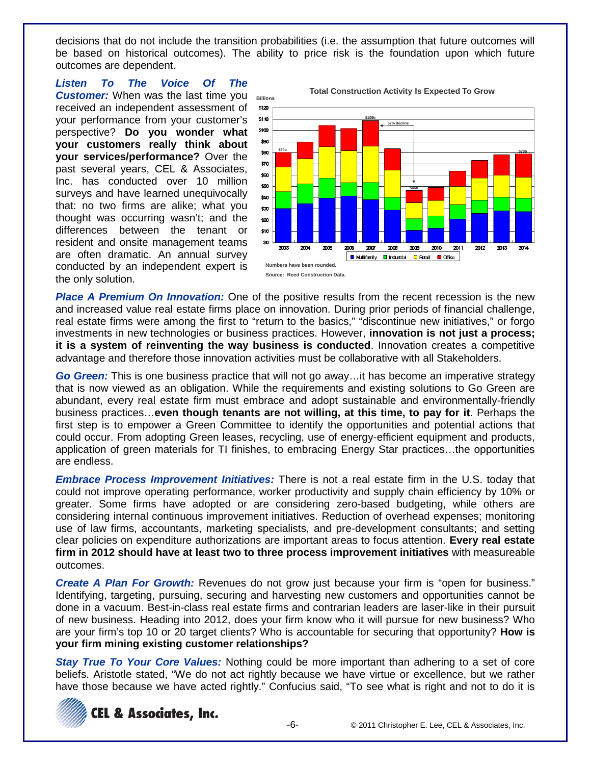decisions that do not include the transition probabilities (i.e. the assumption that future outcomes will be based on historical outcomes). The ability to price risk is the foundation upon which future outcomes are dependent.

*Listen To The Voice Of The* 

**Customer:** When was the last time you **Billions** received an independent assessment of your performance from your customer's perspective? **Do you wonder what your customers really think about your services/performance?** Over the past several years, CEL & Associates, Inc. has conducted over 10 million surveys and have learned unequivocally that: no two firms are alike; what you thought was occurring wasn't; and the differences between the tenant or resident and onsite management teams are often dramatic. An annual survey conducted by an independent expert is the only solution.





**Place A Premium On Innovation:** One of the positive results from the recent recession is the new and increased value real estate firms place on innovation. During prior periods of financial challenge, real estate firms were among the first to "return to the basics," "discontinue new initiatives," or forgo investments in new technologies or business practices. However, **innovation is not just a process; it is a system of reinventing the way business is conducted**. Innovation creates a competitive advantage and therefore those innovation activities must be collaborative with all Stakeholders.

*Go Green:* This is one business practice that will not go away…it has become an imperative strategy that is now viewed as an obligation. While the requirements and existing solutions to Go Green are abundant, every real estate firm must embrace and adopt sustainable and environmentally-friendly business practices…**even though tenants are not willing, at this time, to pay for it**. Perhaps the first step is to empower a Green Committee to identify the opportunities and potential actions that could occur. From adopting Green leases, recycling, use of energy-efficient equipment and products, application of green materials for TI finishes, to embracing Energy Star practices…the opportunities are endless.

*Embrace Process Improvement Initiatives:* There is not a real estate firm in the U.S. today that could not improve operating performance, worker productivity and supply chain efficiency by 10% or greater. Some firms have adopted or are considering zero-based budgeting, while others are considering internal continuous improvement initiatives. Reduction of overhead expenses; monitoring use of law firms, accountants, marketing specialists, and pre-development consultants; and setting clear policies on expenditure authorizations are important areas to focus attention. **Every real estate firm in 2012 should have at least two to three process improvement initiatives** with measureable outcomes.

*Create A Plan For Growth:* Revenues do not grow just because your firm is "open for business." Identifying, targeting, pursuing, securing and harvesting new customers and opportunities cannot be done in a vacuum. Best-in-class real estate firms and contrarian leaders are laser-like in their pursuit of new business. Heading into 2012, does your firm know who it will pursue for new business? Who are your firm's top 10 or 20 target clients? Who is accountable for securing that opportunity? **How is your firm mining existing customer relationships?**

*Stay True To Your Core Values:* Nothing could be more important than adhering to a set of core beliefs. Aristotle stated, "We do not act rightly because we have virtue or excellence, but we rather have those because we have acted rightly." Confucius said, "To see what is right and not to do it is

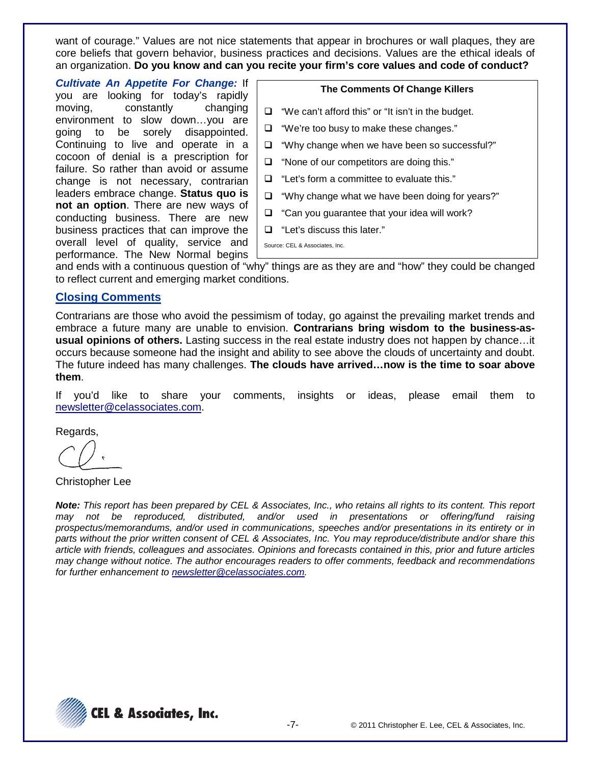want of courage." Values are not nice statements that appear in brochures or wall plaques, they are core beliefs that govern behavior, business practices and decisions. Values are the ethical ideals of an organization. **Do you know and can you recite your firm's core values and code of conduct?**

*Cultivate An Appetite For Change:* If you are looking for today's rapidly moving, constantly changing environment to slow down…you are going to be sorely disappointed. Continuing to live and operate in a cocoon of denial is a prescription for failure. So rather than avoid or assume change is not necessary, contrarian leaders embrace change. **Status quo is not an option**. There are new ways of conducting business. There are new business practices that can improve the overall level of quality, service and performance. The New Normal begins

#### **The Comments Of Change Killers**

- $\Box$  "We can't afford this" or "It isn't in the budget.
- "We're too busy to make these changes."
- $\Box$  "Why change when we have been so successful?"
- $\Box$  "None of our competitors are doing this."
- □ "Let's form a committee to evaluate this."
- $\Box$  "Why change what we have been doing for years?"
- $\Box$  "Can you guarantee that your idea will work?
- "Let's discuss this later."

Source: CEL & Associates, Inc.

and ends with a continuous question of "why" things are as they are and "how" they could be changed to reflect current and emerging market conditions.

## **Closing Comments**

Contrarians are those who avoid the pessimism of today, go against the prevailing market trends and embrace a future many are unable to envision. **Contrarians bring wisdom to the business-asusual opinions of others.** Lasting success in the real estate industry does not happen by chance…it occurs because someone had the insight and ability to see above the clouds of uncertainty and doubt. The future indeed has many challenges. **The clouds have arrived…now is the time to soar above them**.

If you'd like to share your comments, insights or ideas, please email them to newsletter@celassociates.com.

Regards,

Christopher Lee

*Note: This report has been prepared by CEL & Associates, Inc., who retains all rights to its content. This report may not be reproduced, distributed, and/or used in presentations or offering/fund raising prospectus/memorandums, and/or used in communications, speeches and/or presentations in its entirety or in parts without the prior written consent of CEL & Associates, Inc. You may reproduce/distribute and/or share this article with friends, colleagues and associates. Opinions and forecasts contained in this, prior and future articles may change without notice. The author encourages readers to offer comments, feedback and recommendations for further enhancement to newsletter@celassociates.com.*